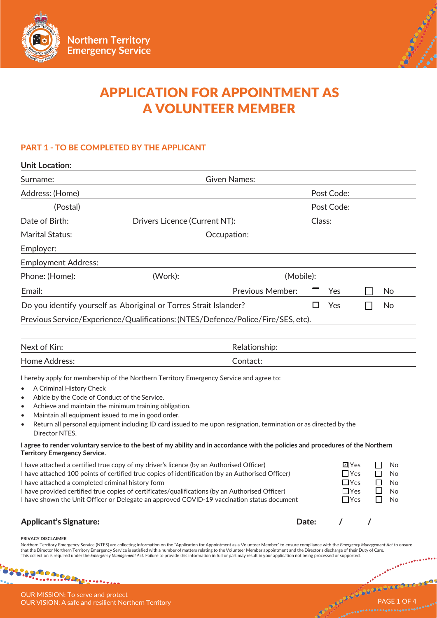



# APPLICATION FOR APPOINTMENT AS A VOLUNTEER MEMBER

# PART 1 - TO BE COMPLETED BY THE APPLICANT

| <b>Unit Location:</b>                                                                                                                                       |                                                                                                                                                                                                                                                                                                                                                                                                                                                                                                                                                                                             |                         |       |                                                                      |                             |                                      |
|-------------------------------------------------------------------------------------------------------------------------------------------------------------|---------------------------------------------------------------------------------------------------------------------------------------------------------------------------------------------------------------------------------------------------------------------------------------------------------------------------------------------------------------------------------------------------------------------------------------------------------------------------------------------------------------------------------------------------------------------------------------------|-------------------------|-------|----------------------------------------------------------------------|-----------------------------|--------------------------------------|
| Surname:                                                                                                                                                    |                                                                                                                                                                                                                                                                                                                                                                                                                                                                                                                                                                                             | <b>Given Names:</b>     |       |                                                                      |                             |                                      |
| Address: (Home)                                                                                                                                             |                                                                                                                                                                                                                                                                                                                                                                                                                                                                                                                                                                                             |                         |       | Post Code:                                                           |                             |                                      |
| (Postal)                                                                                                                                                    |                                                                                                                                                                                                                                                                                                                                                                                                                                                                                                                                                                                             | Post Code:              |       |                                                                      |                             |                                      |
| Date of Birth:                                                                                                                                              | Drivers Licence (Current NT):                                                                                                                                                                                                                                                                                                                                                                                                                                                                                                                                                               |                         |       |                                                                      |                             |                                      |
| <b>Marital Status:</b>                                                                                                                                      |                                                                                                                                                                                                                                                                                                                                                                                                                                                                                                                                                                                             | Occupation:             |       |                                                                      |                             |                                      |
| Employer:                                                                                                                                                   |                                                                                                                                                                                                                                                                                                                                                                                                                                                                                                                                                                                             |                         |       |                                                                      |                             |                                      |
| <b>Employment Address:</b>                                                                                                                                  |                                                                                                                                                                                                                                                                                                                                                                                                                                                                                                                                                                                             |                         |       |                                                                      |                             |                                      |
| Phone: (Home):                                                                                                                                              | (Work):                                                                                                                                                                                                                                                                                                                                                                                                                                                                                                                                                                                     | (Mobile):               |       |                                                                      |                             |                                      |
| Email:                                                                                                                                                      |                                                                                                                                                                                                                                                                                                                                                                                                                                                                                                                                                                                             | <b>Previous Member:</b> |       | Yes                                                                  |                             | No                                   |
|                                                                                                                                                             | Do you identify yourself as Aboriginal or Torres Strait Islander?                                                                                                                                                                                                                                                                                                                                                                                                                                                                                                                           |                         | H     | Yes                                                                  | $\mathcal{L}_{\mathcal{A}}$ | No                                   |
|                                                                                                                                                             | Previous Service/Experience/Qualifications: (NTES/Defence/Police/Fire/SES, etc).                                                                                                                                                                                                                                                                                                                                                                                                                                                                                                            |                         |       |                                                                      |                             |                                      |
|                                                                                                                                                             |                                                                                                                                                                                                                                                                                                                                                                                                                                                                                                                                                                                             |                         |       |                                                                      |                             |                                      |
| Next of Kin:                                                                                                                                                |                                                                                                                                                                                                                                                                                                                                                                                                                                                                                                                                                                                             | Relationship:           |       |                                                                      |                             |                                      |
| Home Address:                                                                                                                                               |                                                                                                                                                                                                                                                                                                                                                                                                                                                                                                                                                                                             | Contact:                |       |                                                                      |                             |                                      |
| A Criminal History Check<br>$\bullet$<br>Abide by the Code of Conduct of the Service.<br>$\bullet$<br>$\bullet$<br>$\bullet$<br>$\bullet$<br>Director NTES. | I hereby apply for membership of the Northern Territory Emergency Service and agree to:<br>Achieve and maintain the minimum training obligation.<br>Maintain all equipment issued to me in good order.<br>Return all personal equipment including ID card issued to me upon resignation, termination or as directed by the                                                                                                                                                                                                                                                                  |                         |       |                                                                      |                             |                                      |
| <b>Territory Emergency Service.</b>                                                                                                                         | I agree to render voluntary service to the best of my ability and in accordance with the policies and procedures of the Northern                                                                                                                                                                                                                                                                                                                                                                                                                                                            |                         |       |                                                                      |                             |                                      |
| I have attached a completed criminal history form                                                                                                           | I have attached a certified true copy of my driver's licence (by an Authorised Officer)<br>I have attached 100 points of certified true copies of identification (by an Authorised Officer)<br>I have provided certified true copies of certificates/qualifications (by an Authorised Officer)<br>I have shown the Unit Officer or Delegate an approved COVID-19 vaccination status document                                                                                                                                                                                                |                         |       | <b>⊡</b> Yes<br>$\Box$ Yes<br>$\Box$ Yes<br>$\Box$ Yes<br>$\Box$ Yes |                             | No<br>No<br>$\Box$<br>No<br>No<br>No |
| <b>Applicant's Signature:</b>                                                                                                                               |                                                                                                                                                                                                                                                                                                                                                                                                                                                                                                                                                                                             |                         | Date: |                                                                      |                             |                                      |
| PRIVACY DISCLAIMER                                                                                                                                          | Northern Territory Emergency Service (NTES) are collecting information on the "Application for Appointment as a Volunteer Member" to ensure compliance with the Emergency Management Act to ensure<br>that the Director Northern Territory Emergency Service is satisfied with a number of matters relating to the Volunteer Member appointment and the Director's discharge of their Duty of Care.<br>This collection is required under the Emergency Management Act. Failure to provide this information in full or part may result in your application not being processed or supported. |                         |       |                                                                      |                             |                                      |

**Liganos.com** OUR MISSION: To serve and protect OUR VISION: A safe and resilient Northern Territory PAGE 1 OF 4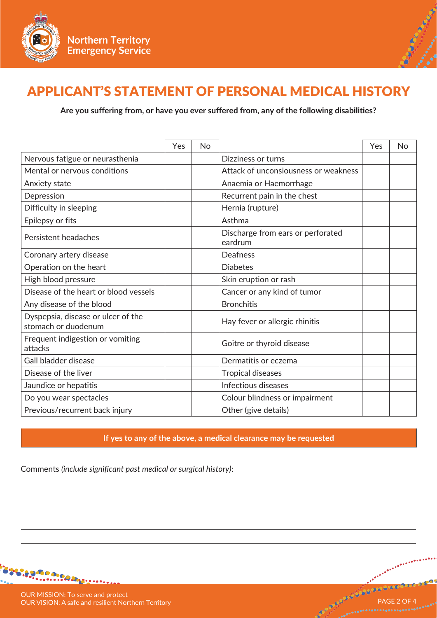



# APPLICANT'S STATEMENT OF PERSONAL MEDICAL HISTORY

**Are you suffering from, or have you ever suffered from, any of the following disabilities?**

|                                                           | Yes | <b>No</b> |                                              | Yes | <b>No</b> |
|-----------------------------------------------------------|-----|-----------|----------------------------------------------|-----|-----------|
| Nervous fatigue or neurasthenia                           |     |           | Dizziness or turns                           |     |           |
| Mental or nervous conditions                              |     |           | Attack of unconsiousness or weakness         |     |           |
| Anxiety state                                             |     |           | Anaemia or Haemorrhage                       |     |           |
| Depression                                                |     |           | Recurrent pain in the chest                  |     |           |
| Difficulty in sleeping                                    |     |           | Hernia (rupture)                             |     |           |
| Epilepsy or fits                                          |     |           | Asthma                                       |     |           |
| Persistent headaches                                      |     |           | Discharge from ears or perforated<br>eardrum |     |           |
| Coronary artery disease                                   |     |           | <b>Deafness</b>                              |     |           |
| Operation on the heart                                    |     |           | <b>Diabetes</b>                              |     |           |
| High blood pressure                                       |     |           | Skin eruption or rash                        |     |           |
| Disease of the heart or blood vessels                     |     |           | Cancer or any kind of tumor                  |     |           |
| Any disease of the blood                                  |     |           | <b>Bronchitis</b>                            |     |           |
| Dyspepsia, disease or ulcer of the<br>stomach or duodenum |     |           | Hay fever or allergic rhinitis               |     |           |
| Frequent indigestion or vomiting<br>attacks               |     |           | Goitre or thyroid disease                    |     |           |
| Gall bladder disease                                      |     |           | Dermatitis or eczema                         |     |           |
| Disease of the liver                                      |     |           | <b>Tropical diseases</b>                     |     |           |
| Jaundice or hepatitis                                     |     |           | Infectious diseases                          |     |           |
| Do you wear spectacles                                    |     |           | Colour blindness or impairment               |     |           |
| Previous/recurrent back injury                            |     |           | Other (give details)                         |     |           |

**If yes to any of the above, a medical clearance may be requested**

Comments *(include significant past medical or surgical history)*:



OUR MISSION: To serve and protect OUR VISION: A safe and resilient Northern Territory PAGE 2 OF 4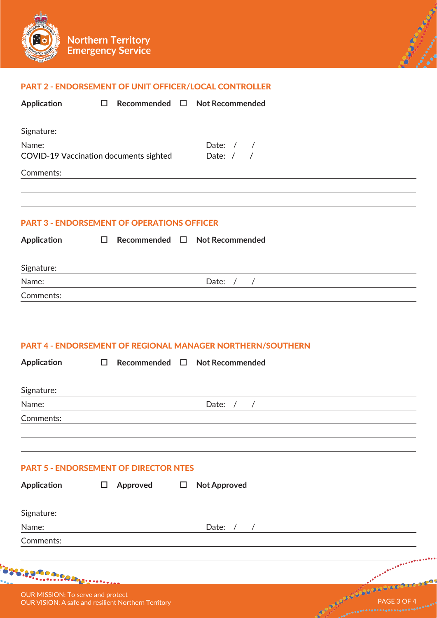



## PART 2 - ENDORSEMENT OF UNIT OFFICER/LOCAL CONTROLLER

**Application**

**Recommended Not Recommended**

| Signature:                             |           |
|----------------------------------------|-----------|
| Name:                                  | Date:     |
| COVID-19 Vaccination documents sighted | Date: $/$ |
| Comments:                              |           |
|                                        |           |

# PART 3 - ENDORSEMENT OF OPERATIONS OFFICER

| <b>Application</b>                                                                              | $\Box$ |          |        | Recommended $\square$ Not Recommended                                                     |
|-------------------------------------------------------------------------------------------------|--------|----------|--------|-------------------------------------------------------------------------------------------|
| Signature:                                                                                      |        |          |        |                                                                                           |
| Name:                                                                                           |        |          |        | Date: $/$<br>$\frac{1}{\sqrt{1-\frac{1}{2}}}\left( \frac{1}{\sqrt{1-\frac{1}{2}}}\right)$ |
| Comments:                                                                                       |        |          |        |                                                                                           |
|                                                                                                 |        |          |        | <b>PART 4 - ENDORSEMENT OF REGIONAL MANAGER NORTHERN/SOUTHERN</b>                         |
| <b>Application</b>                                                                              | $\Box$ |          |        | Recommended □ Not Recommended                                                             |
| Signature:                                                                                      |        |          |        |                                                                                           |
| Name:                                                                                           |        |          |        | Date: $/$<br>$\frac{1}{2}$                                                                |
| Comments:                                                                                       |        |          |        |                                                                                           |
| <b>PART 5 - ENDORSEMENT OF DIRECTOR NTES</b>                                                    |        |          |        |                                                                                           |
| <b>Application</b>                                                                              | $\Box$ | Approved | $\Box$ | <b>Not Approved</b>                                                                       |
| Signature:                                                                                      |        |          |        |                                                                                           |
| Name:                                                                                           |        |          |        | Date:<br>$\sqrt{2}$<br>$\sqrt{2}$                                                         |
| Comments:                                                                                       |        |          |        |                                                                                           |
| <b>Agmoniac</b> he                                                                              |        |          |        |                                                                                           |
| OUR MISSION: To serve and protect<br><b>OUR VISION: A safe and resilient Northern Territory</b> |        |          |        | LOQUES<br>PAGE 3 OF 4                                                                     |